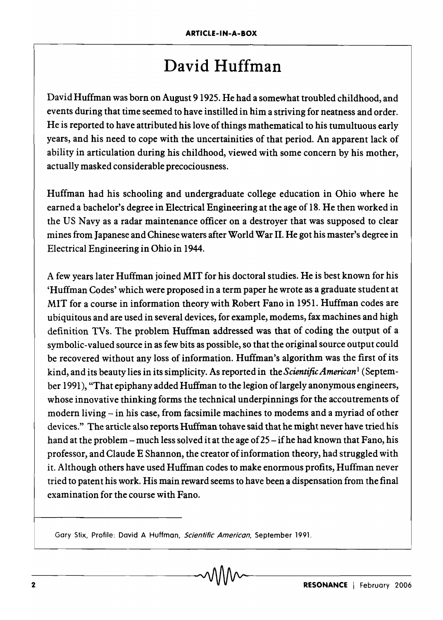## David Huffman

David Huffman was born on August 9 1925. He had a somewhat troubled childhood, and events during that time seemed to have instilled in him a striving for neatness and order. He is reported to have attributed his love of things mathematical to his tumultuous early years, and his need to cope with the uncertainities of that period. An apparent lack of ability in articulation during his childhood, viewed with some concern by his mother, actually masked considerable precociousness.

Huffman had his schooling and undergraduate college education in Ohio where he earned a bachelor's degree in Electrical Engineering at the age of 18. He then worked in the US Navy as a radar maintenance officer on a destroyer that was supposed to clear mines from Japanese and Chinese waters after World War II. He got his master's degree in Electrical Engineering in Ohio in 1944.

A few years later Huffman joined MIT for his doctoral studies. He is best known for his 'Huffman Codes' which were proposed in a term paper he wrote as a graduate student at MIT for a course in information theory with Robert Fano in 1951. Huffman codes are ubiquitous and are used in several devices, for example, modems, fax machines and high definition TVs. The problem Huffman addressed was that of coding the output of a symbolic-valued source in as few bits as possible, so that the original source output could be recovered without any loss of information. Huffman's algorithm was the first of its kind, and its beauty lies in its simplicity. As reported in *theScientificAmerican* <sup>l</sup>(September 1991), "That epiphany added Huffman to the legion oflargely anonymous engineers, whose innovative thinking forms the technical underpinnings for the accoutrements of modern living - in his case, from facsimile machines to modems and a myriad of other devices." The article also reports Huffman tohave said that he might never have tried his hand at the problem – much less solved it at the age of  $25 - if$  he had known that Fano, his professor, and Claude E Shannon, the creator ofinformation theory, had struggled with it. Although others have used Huffman codes to make enormous profits, Huffman never tried to patent his work. His main reward seems to have been a dispensation from the final examination for the course with Fano.

Gary Stix, Profile: David A Huffman, Scientific American, September 1991.